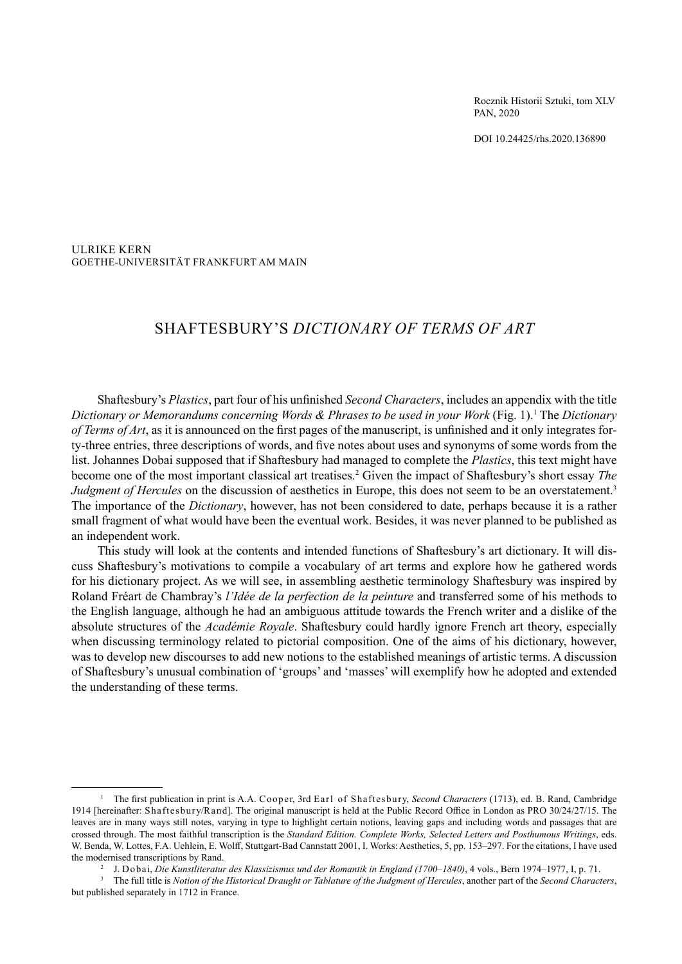Rocznik Historii Sztuki, tom XLV PAN, 2020

DOI 10.24425/rhs.2020.136890

ULRIKE KERN GOETHE-UNIVERSITÄT FRANKFURT AM MAIN

# SHAFTESBURY'S *DICTIONARY OF TERMS OF ART*

Shaftesbury's *Plastics*, part four of his unfinished *Second Characters*, includes an appendix with the title *Dictionary or Memorandums concerning Words & Phrases to be used in your Work* (Fig. 1).1 The *Dictionary of Terms of Art*, as it is announced on the first pages of the manuscript, is unfinished and it only integrates forty-three entries, three descriptions of words, and five notes about uses and synonyms of some words from the list. Johannes Dobai supposed that if Shaftesbury had managed to complete the *Plastics*, this text might have become one of the most important classical art treatises.2 Given the impact of Shaftesbury's short essay *The Judgment of Hercules* on the discussion of aesthetics in Europe, this does not seem to be an overstatement.<sup>3</sup> The importance of the *Dictionary*, however, has not been considered to date, perhaps because it is a rather small fragment of what would have been the eventual work. Besides, it was never planned to be published as an independent work.

This study will look at the contents and intended functions of Shaftesbury's art dictionary. It will discuss Shaftesbury's motivations to compile a vocabulary of art terms and explore how he gathered words for his dictionary project. As we will see, in assembling aesthetic terminology Shaftesbury was inspired by Roland Fréart de Chambray's *l'Idée de la perfection de la peinture* and transferred some of his methods to the English language, although he had an ambiguous attitude towards the French writer and a dislike of the absolute structures of the *Académie Royale*. Shaftesbury could hardly ignore French art theory, especially when discussing terminology related to pictorial composition. One of the aims of his dictionary, however, was to develop new discourses to add new notions to the established meanings of artistic terms. A discussion of Shaftesbury's unusual combination of 'groups' and 'masses' will exemplify how he adopted and extended the understanding of these terms.

<sup>1</sup> The first publication in print is A.A. Cooper, 3rd Earl of Shaftesbury, *Second Characters* (1713), ed. B. Rand, Cambridge 1914 [hereinafter: Shaftesbury/Rand]. The original manuscript is held at the Public Record Office in London as PRO 30/24/27/15. The leaves are in many ways still notes, varying in type to highlight certain notions, leaving gaps and including words and passages that are crossed through. The most faithful transcription is the *Standard Edition. Complete Works, Selected Letters and Posthumous Writings*, eds. W. Benda, W. Lottes, F.A. Uehlein, E. Wolff, Stuttgart-Bad Cannstatt 2001, I. Works: Aesthetics, 5, pp. 153–297. For the citations, I have used the modernised transcriptions by Rand.

<sup>2</sup> J. Dobai, *Die Kunstliteratur des Klassizismus und der Romantik in England (1700–1840)*, 4 vols., Bern 1974–1977, I, p. 71.

<sup>3</sup> The full title is *Notion of the Historical Draught or Tablature of the Judgment of Hercules*, another part of the *Second Characters*, but published separately in 1712 in France.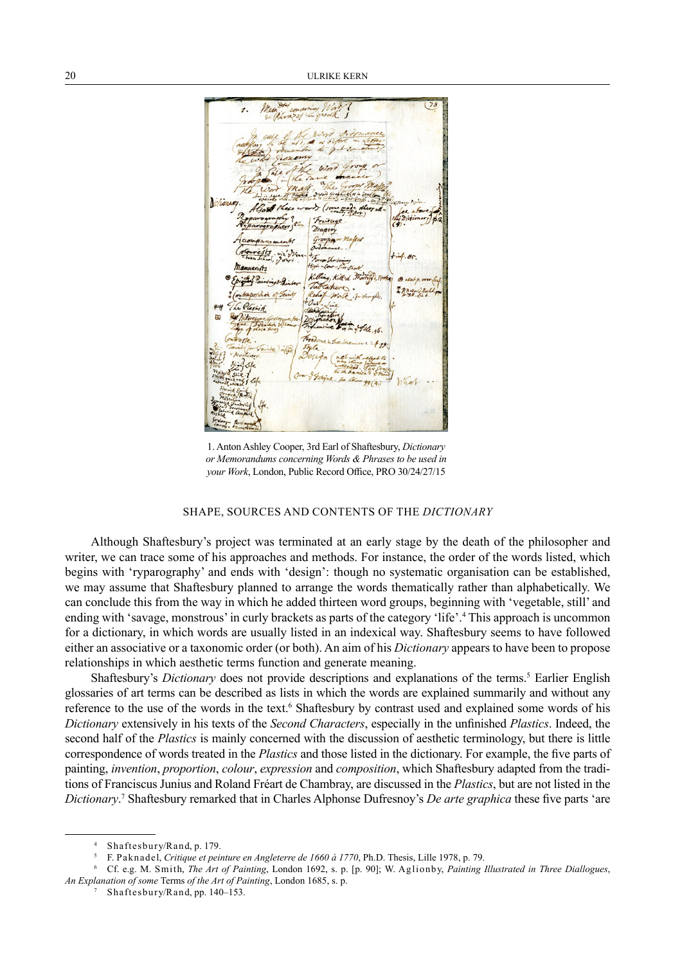Mannerists into Pa ontraporchon of Teint Plathik  $\mathcal{F}$ .

1. Anton Ashley Cooper, 3rd Earl of Shaftesbury, *Dictionary or Memorandums concerning Words & Phrases to be used in your Work*, London, Public Record Office, PRO 30/24/27/15

## SHAPE, SOURCES AND CONTENTS OF THE *DICTIONARY*

Although Shaftesbury's project was terminated at an early stage by the death of the philosopher and writer, we can trace some of his approaches and methods. For instance, the order of the words listed, which begins with 'ryparography' and ends with 'design': though no systematic organisation can be established, we may assume that Shaftesbury planned to arrange the words thematically rather than alphabetically. We can conclude this from the way in which he added thirteen word groups, beginning with 'vegetable, still' and ending with 'savage, monstrous' in curly brackets as parts of the category 'life'.<sup>4</sup> This approach is uncommon for a dictionary, in which words are usually listed in an indexical way. Shaftesbury seems to have followed either an associative or a taxonomic order (or both). An aim of his *Dictionary* appears to have been to propose relationships in which aesthetic terms function and generate meaning.

Shaftesbury's *Dictionary* does not provide descriptions and explanations of the terms.<sup>5</sup> Earlier English glossaries of art terms can be described as lists in which the words are explained summarily and without any reference to the use of the words in the text.<sup>6</sup> Shaftesbury by contrast used and explained some words of his *Dictionary* extensively in his texts of the *Second Characters*, especially in the unfinished *Plastics*. Indeed, the second half of the *Plastics* is mainly concerned with the discussion of aesthetic terminology, but there is little correspondence of words treated in the *Plastics* and those listed in the dictionary. For example, the five parts of painting, *invention*, *proportion*, *colour*, *expression* and *composition*, which Shaftesbury adapted from the traditions of Franciscus Junius and Roland Fréart de Chambray, are discussed in the *Plastics*, but are not listed in the *Dictionary*. 7 Shaftesbury remarked that in Charles Alphonse Dufresnoy's *De arte graphica* these five parts 'are

<sup>4</sup> Shaftesbury/Rand, p. 179.

<sup>5</sup> F. Paknadel, *Critique et peinture en Angleterre de 1660 à 1770*, Ph.D. Thesis, Lille 1978, p. 79.

<sup>6</sup> Cf. e.g. M. Smith, *The Art of Painting*, London 1692, s. p. [p. 90]; W. Aglionby, *Painting Illustrated in Three Diallogues*, *An Explanation of some* Terms *of the Art of Painting*, London 1685, s. p.

Shaftesbury/Rand, pp. 140-153.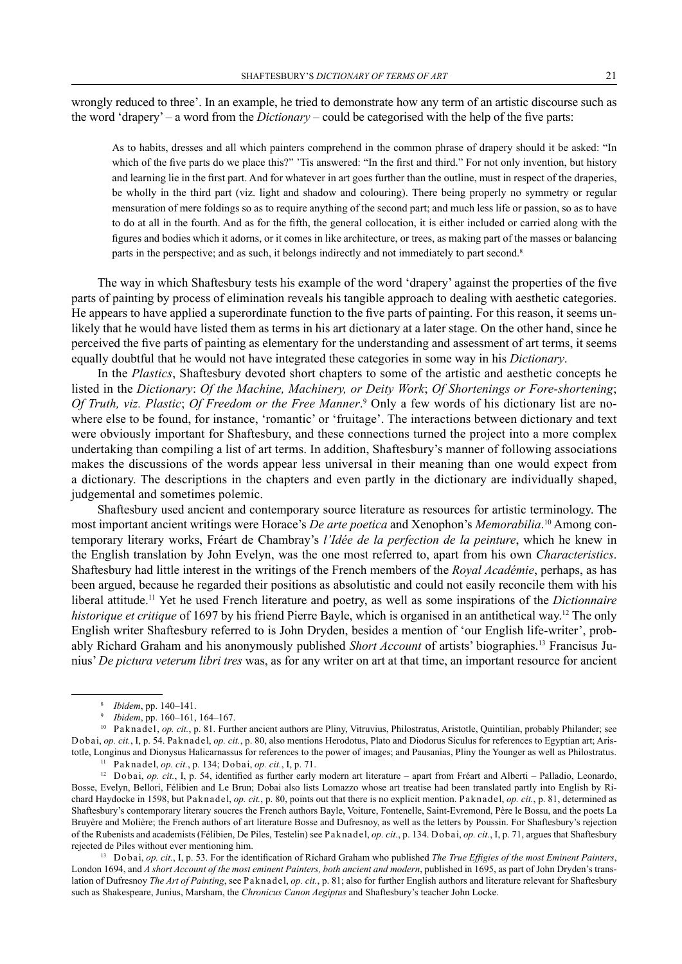wrongly reduced to three'. In an example, he tried to demonstrate how any term of an artistic discourse such as the word 'drapery' – a word from the *Dictionary* – could be categorised with the help of the five parts:

As to habits, dresses and all which painters comprehend in the common phrase of drapery should it be asked: "In which of the five parts do we place this?" 'Tis answered: "In the first and third." For not only invention, but history and learning lie in the first part. And for whatever in art goes further than the outline, must in respect of the draperies, be wholly in the third part (viz. light and shadow and colouring). There being properly no symmetry or regular mensuration of mere foldings so as to require anything of the second part; and much less life or passion, so as to have to do at all in the fourth. And as for the fifth, the general collocation, it is either included or carried along with the figures and bodies which it adorns, or it comes in like architecture, or trees, as making part of the masses or balancing parts in the perspective; and as such, it belongs indirectly and not immediately to part second.8

The way in which Shaftesbury tests his example of the word 'drapery' against the properties of the five parts of painting by process of elimination reveals his tangible approach to dealing with aesthetic categories. He appears to have applied a superordinate function to the five parts of painting. For this reason, it seems unlikely that he would have listed them as terms in his art dictionary at a later stage. On the other hand, since he perceived the five parts of painting as elementary for the understanding and assessment of art terms, it seems equally doubtful that he would not have integrated these categories in some way in his *Dictionary*.

In the *Plastics*, Shaftesbury devoted short chapters to some of the artistic and aesthetic concepts he listed in the *Dictionary*: *Of the Machine, Machinery, or Deity Work*; *Of Shortenings or Fore-shortening*; Of Truth, viz. Plastic; Of Freedom or the Free Manner.<sup>9</sup> Only a few words of his dictionary list are nowhere else to be found, for instance, 'romantic' or 'fruitage'. The interactions between dictionary and text were obviously important for Shaftesbury, and these connections turned the project into a more complex undertaking than compiling a list of art terms. In addition, Shaftesbury's manner of following associations makes the discussions of the words appear less universal in their meaning than one would expect from a dictionary. The descriptions in the chapters and even partly in the dictionary are individually shaped, judgemental and sometimes polemic.

Shaftesbury used ancient and contemporary source literature as resources for artistic terminology. The most important ancient writings were Horace's *De arte poetica* and Xenophon's *Memorabilia*. 10 Among contemporary literary works, Fréart de Chambray's *l'Idée de la perfection de la peinture*, which he knew in the English translation by John Evelyn, was the one most referred to, apart from his own *Characteristics*. Shaftesbury had little interest in the writings of the French members of the *Royal Académie*, perhaps, as has been argued, because he regarded their positions as absolutistic and could not easily reconcile them with his liberal attitude.11 Yet he used French literature and poetry, as well as some inspirations of the *Dictionnaire historique et critique* of 1697 by his friend Pierre Bayle, which is organised in an antithetical way.12 The only English writer Shaftesbury referred to is John Dryden, besides a mention of 'our English life-writer', probably Richard Graham and his anonymously published *Short Account* of artists' biographies.13 Francisus Junius' *De pictura veterum libri tres* was, as for any writer on art at that time, an important resource for ancient

<sup>8</sup> *Ibidem*, pp. 140–141.

<sup>9</sup> *Ibidem*, pp. 160–161, 164–167.

<sup>&</sup>lt;sup>10</sup> Paknadel, *op. cit.*, p. 81. Further ancient authors are Pliny, Vitruvius, Philostratus, Aristotle, Quintilian, probably Philander; see Dobai, *op. cit.*, I, p. 54. Paknadel, *op. cit.*, p. 80, also mentions Herodotus, Plato and Diodorus Siculus for references to Egyptian art; Aristotle, Longinus and Dionysus Halicarnassus for references to the power of images; and Pausanias, Pliny the Younger as well as Philostratus.

<sup>11</sup> Paknadel, *op. cit.*, p. 134; Dobai, *op. cit.*, I, p. 71.

<sup>&</sup>lt;sup>12</sup> Dobai, *op. cit.*, I, p. 54, identified as further early modern art literature – apart from Fréart and Alberti – Palladio, Leonardo, Bosse, Evelyn, Bellori, Félibien and Le Brun; Dobai also lists Lomazzo whose art treatise had been translated partly into English by Richard Haydocke in 1598, but Paknadel, *op. cit.*, p. 80, points out that there is no explicit mention. Paknadel, *op. cit.*, p. 81, determined as Shaftesbury's contemporary literary soucres the French authors Bayle, Voiture, Fontenelle, Saint-Evremond, Père le Bossu, and the poets La Bruyère and Molière; the French authors of art literature Bosse and Dufresnoy, as well as the letters by Poussin. For Shaftesbury's rejection of the Rubenists and academists (Félibien, De Piles, Testelin) see Paknadel, *op. cit.*, p. 134. Dobai, *op. cit.*, I, p. 71, argues that Shaftesbury rejected de Piles without ever mentioning him.

<sup>13</sup> Dobai, *op. cit.*, I, p. 53. For the identification of Richard Graham who published *The True Effigies of the most Eminent Painters*, London 1694, and *A short Account of the most eminent Painters, both ancient and modern*, published in 1695, as part of John Dryden's translation of Dufresnoy *The Art of Painting*, see Paknadel, *op. cit.*, p. 81; also for further English authors and literature relevant for Shaftesbury such as Shakespeare, Junius, Marsham, the *Chronicus Canon Aegiptus* and Shaftesbury's teacher John Locke.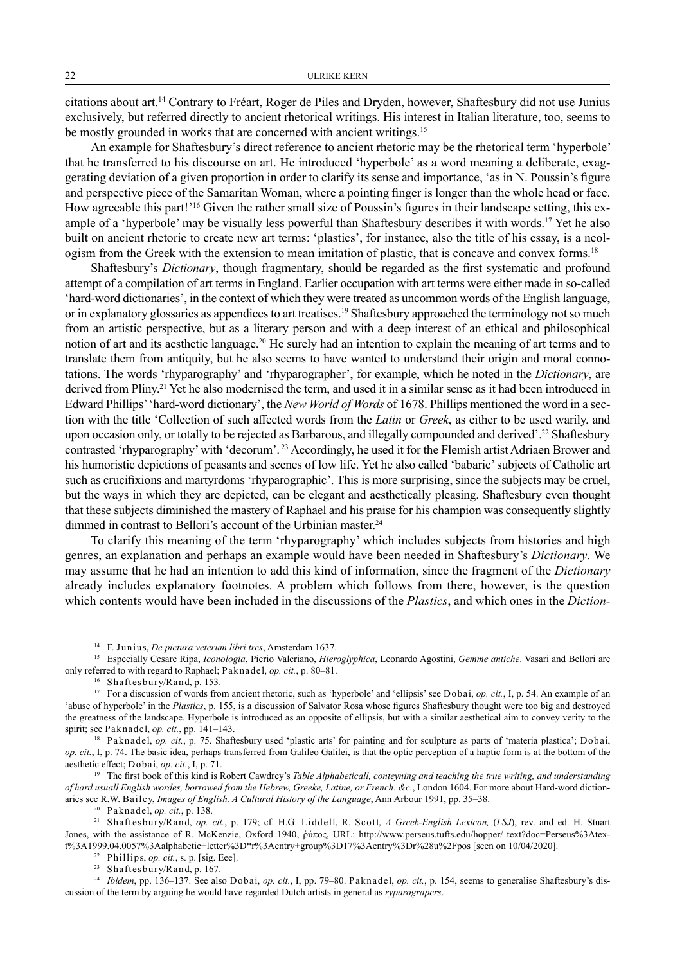citations about art.14 Contrary to Fréart, Roger de Piles and Dryden, however, Shaftesbury did not use Junius exclusively, but referred directly to ancient rhetorical writings. His interest in Italian literature, too, seems to be mostly grounded in works that are concerned with ancient writings.<sup>15</sup>

An example for Shaftesbury's direct reference to ancient rhetoric may be the rhetorical term 'hyperbole' that he transferred to his discourse on art. He introduced 'hyperbole' as a word meaning a deliberate, exaggerating deviation of a given proportion in order to clarify its sense and importance, 'as in N. Poussin's figure and perspective piece of the Samaritan Woman, where a pointing finger is longer than the whole head or face. How agreeable this part!'16 Given the rather small size of Poussin's figures in their landscape setting, this example of a 'hyperbole' may be visually less powerful than Shaftesbury describes it with words.<sup>17</sup> Yet he also built on ancient rhetoric to create new art terms: 'plastics', for instance, also the title of his essay, is a neologism from the Greek with the extension to mean imitation of plastic, that is concave and convex forms.18

Shaftesbury's *Dictionary*, though fragmentary, should be regarded as the first systematic and profound attempt of a compilation of art terms in England. Earlier occupation with art terms were either made in so-called 'hard-word dictionaries', in the context of which they were treated as uncommon words of the English language, or in explanatory glossaries as appendices to art treatises.<sup>19</sup> Shaftesbury approached the terminology not so much from an artistic perspective, but as a literary person and with a deep interest of an ethical and philosophical notion of art and its aesthetic language.20 He surely had an intention to explain the meaning of art terms and to translate them from antiquity, but he also seems to have wanted to understand their origin and moral connotations. The words 'rhyparography' and 'rhyparographer', for example, which he noted in the *Dictionary*, are derived from Pliny.<sup>21</sup> Yet he also modernised the term, and used it in a similar sense as it had been introduced in Edward Phillips' 'hard-word dictionary', the *New World of Words* of 1678. Phillips mentioned the word in a section with the title 'Collection of such affected words from the *Latin* or *Greek*, as either to be used warily, and upon occasion only, or totally to be rejected as Barbarous, and illegally compounded and derived'.<sup>22</sup> Shaftesbury contrasted 'rhyparography' with 'decorum'. 23 Accordingly, he used it for the Flemish artist Adriaen Brower and his humoristic depictions of peasants and scenes of low life. Yet he also called 'babaric' subjects of Catholic art such as crucifixions and martyrdoms 'rhyparographic'. This is more surprising, since the subjects may be cruel, but the ways in which they are depicted, can be elegant and aesthetically pleasing. Shaftesbury even thought that these subjects diminished the mastery of Raphael and his praise for his champion was consequently slightly dimmed in contrast to Bellori's account of the Urbinian master.<sup>24</sup>

To clarify this meaning of the term 'rhyparography' which includes subjects from histories and high genres, an explanation and perhaps an example would have been needed in Shaftesbury's *Dictionary*. We may assume that he had an intention to add this kind of information, since the fragment of the *Dictionary* already includes explanatory footnotes. A problem which follows from there, however, is the question which contents would have been included in the discussions of the *Plastics*, and which ones in the *Diction-*

<sup>14</sup> F. Junius, *De pictura veterum libri tres*, Amsterdam 1637.

<sup>15</sup> Especially Cesare Ripa, *Iconologia*, Pierio Valeriano, *Hieroglyphica*, Leonardo Agostini, *Gemme antiche*. Vasari and Bellori are only referred to with regard to Raphael; Paknadel, *op. cit.*, p. 80–81.

<sup>16</sup> Shaftesbury/Rand, p. 153.

<sup>&</sup>lt;sup>17</sup> For a discussion of words from ancient rhetoric, such as 'hyperbole' and 'ellipsis' see Dobai, *op. cit.*, I, p. 54. An example of an 'abuse of hyperbole' in the *Plastics*, p. 155, is a discussion of Salvator Rosa whose figures Shaftesbury thought were too big and destroyed the greatness of the landscape. Hyperbole is introduced as an opposite of ellipsis, but with a similar aesthetical aim to convey verity to the spirit; see Paknadel, *op. cit.*, pp. 141–143.

<sup>&</sup>lt;sup>18</sup> Paknadel, *op. cit.*, p. 75. Shaftesbury used 'plastic arts' for painting and for sculpture as parts of 'materia plastica'; Dobai, *op. cit.*, I, p. 74. The basic idea, perhaps transferred from Galileo Galilei, is that the optic perception of a haptic form is at the bottom of the aesthetic effect; Dobai, *op. cit.*, I, p. 71.

<sup>&</sup>lt;sup>19</sup> The first book of this kind is Robert Cawdrey's *Table Alphabeticall, conteyning and teaching the true writing, and understanding of hard usuall English wordes, borrowed from the Hebrew, Greeke, Latine, or French. &c.*, London 1604. For more about Hard-word dictionaries see R.W. Bailey, *Images of English. A Cultural History of the Language*, Ann Arbour 1991, pp. 35–38. 20 Paknadel, *op. cit.*, p. 138.

<sup>21</sup> Shaftesbury/Rand, *op. cit.*, p. 179; cf. H.G. Liddell, R. Scott, *A Greek-English Lexicon,* (*LSJ*), rev. and ed. H. Stuart Jones, with the assistance of R. McKenzie, Oxford 1940, ῥύπος, URL: http://www.perseus.tufts.edu/hopper/ text?doc=Perseus%3Atext%3A1999.04.0057%3Aalphabetic+letter%3D\*r%3Aentry+group%3D17%3Aentry%3Dr%28u%2Fpos [seen on 10/04/2020].

<sup>22</sup> Phillips, *op. cit.*, s. p. [sig. Eee].

<sup>23</sup> Shaftesbury/Rand, p. 167.

<sup>24</sup> *Ibidem*, pp. 136–137. See also Dobai, *op. cit.*, I, pp. 79–80. Paknadel, *op. cit.*, p. 154, seems to generalise Shaftesbury's discussion of the term by arguing he would have regarded Dutch artists in general as *ryparograpers*.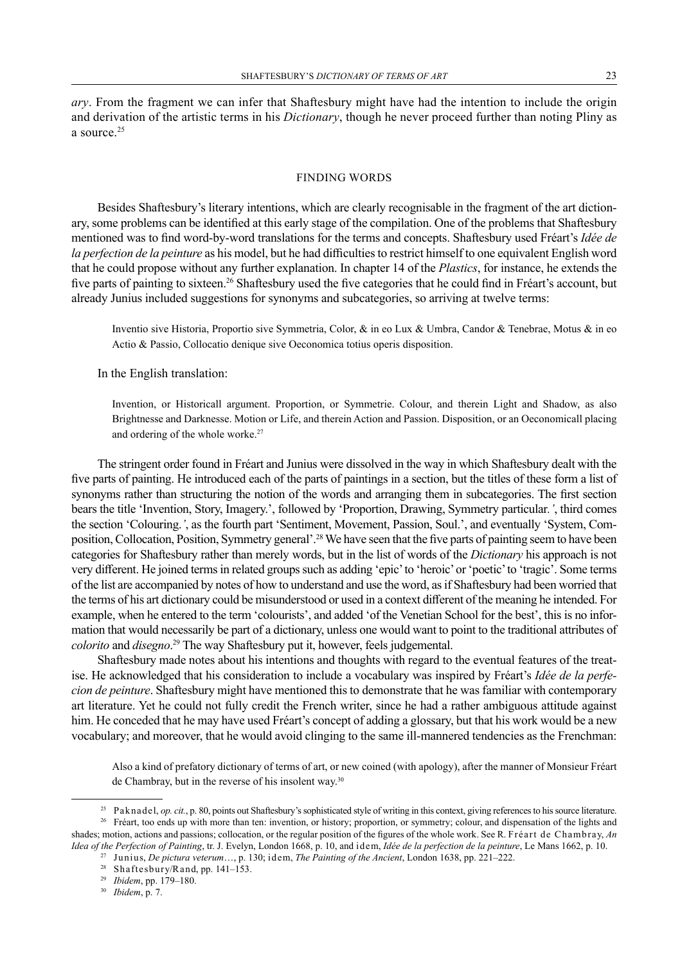#### FINDING WORDS

Besides Shaftesbury's literary intentions, which are clearly recognisable in the fragment of the art dictionary, some problems can be identified at this early stage of the compilation. One of the problems that Shaftesbury mentioned was to find word-by-word translations for the terms and concepts. Shaftesbury used Fréart's *Idée de la perfection de la peinture* as his model, but he had difficulties to restrict himself to one equivalent English word that he could propose without any further explanation. In chapter 14 of the *Plastics*, for instance, he extends the five parts of painting to sixteen.<sup>26</sup> Shaftesbury used the five categories that he could find in Fréart's account, but already Junius included suggestions for synonyms and subcategories, so arriving at twelve terms:

Inventio sive Historia, Proportio sive Symmetria, Color, & in eo Lux & Umbra, Candor & Tenebrae, Motus & in eo Actio & Passio, Collocatio denique sive Oeconomica totius operis disposition.

In the English translation:

Invention, or Historicall argument. Proportion, or Symmetrie. Colour, and therein Light and Shadow, as also Brightnesse and Darknesse. Motion or Life, and therein Action and Passion. Disposition, or an Oeconomicall placing and ordering of the whole worke.<sup>27</sup>

The stringent order found in Fréart and Junius were dissolved in the way in which Shaftesbury dealt with the five parts of painting. He introduced each of the parts of paintings in a section, but the titles of these form a list of synonyms rather than structuring the notion of the words and arranging them in subcategories. The first section bears the title 'Invention, Story, Imagery.', followed by 'Proportion, Drawing, Symmetry particular*.'*, third comes the section 'Colouring.*'*, as the fourth part 'Sentiment, Movement, Passion, Soul.', and eventually 'System, Composition, Collocation, Position, Symmetry general'.<sup>28</sup> We have seen that the five parts of painting seem to have been categories for Shaftesbury rather than merely words, but in the list of words of the *Dictionary* his approach is not very different. He joined terms in related groups such as adding 'epic' to 'heroic' or 'poetic' to 'tragic'. Some terms of the list are accompanied by notes of how to understand and use the word, as if Shaftesbury had been worried that the terms of his art dictionary could be misunderstood or used in a context different of the meaning he intended. For example, when he entered to the term 'colourists', and added 'of the Venetian School for the best', this is no information that would necessarily be part of a dictionary, unless one would want to point to the traditional attributes of *colorito* and *disegno*. 29 The way Shaftesbury put it, however, feels judgemental.

Shaftesbury made notes about his intentions and thoughts with regard to the eventual features of the treatise. He acknowledged that his consideration to include a vocabulary was inspired by Fréart's *Idée de la perfecion de peinture*. Shaftesbury might have mentioned this to demonstrate that he was familiar with contemporary art literature. Yet he could not fully credit the French writer, since he had a rather ambiguous attitude against him. He conceded that he may have used Fréart's concept of adding a glossary, but that his work would be a new vocabulary; and moreover, that he would avoid clinging to the same ill-mannered tendencies as the Frenchman:

Also a kind of prefatory dictionary of terms of art, or new coined (with apology), after the manner of Monsieur Fréart de Chambray, but in the reverse of his insolent way.<sup>30</sup>

<sup>&</sup>lt;sup>25</sup> Paknadel, *op. cit.*, p. 80, points out Shaftesbury's sophisticated style of writing in this context, giving references to his source literature. <sup>26</sup> Fréart, too ends up with more than ten: invention, or history; proportion, or symmetry; colour, and dispensation of the lights and

shades; motion, actions and passions; collocation, or the regular position of the figures of the whole work. See R. Fréart de Chambray, *An Idea of the Perfection of Painting*, tr. J. Evelyn, London 1668, p. 10, and idem, *Idée de la perfection de la peinture*, Le Mans 1662, p. 10.

<sup>27</sup> Junius, *De pictura veterum*…, p. 130; idem, *The Painting of the Ancient*, London 1638, pp. 221–222.

<sup>28</sup> Shaftesbury/Rand, pp. 141–153.

<sup>29</sup> *Ibidem*, pp. 179–180.

<sup>30</sup> *Ibidem*, p. 7.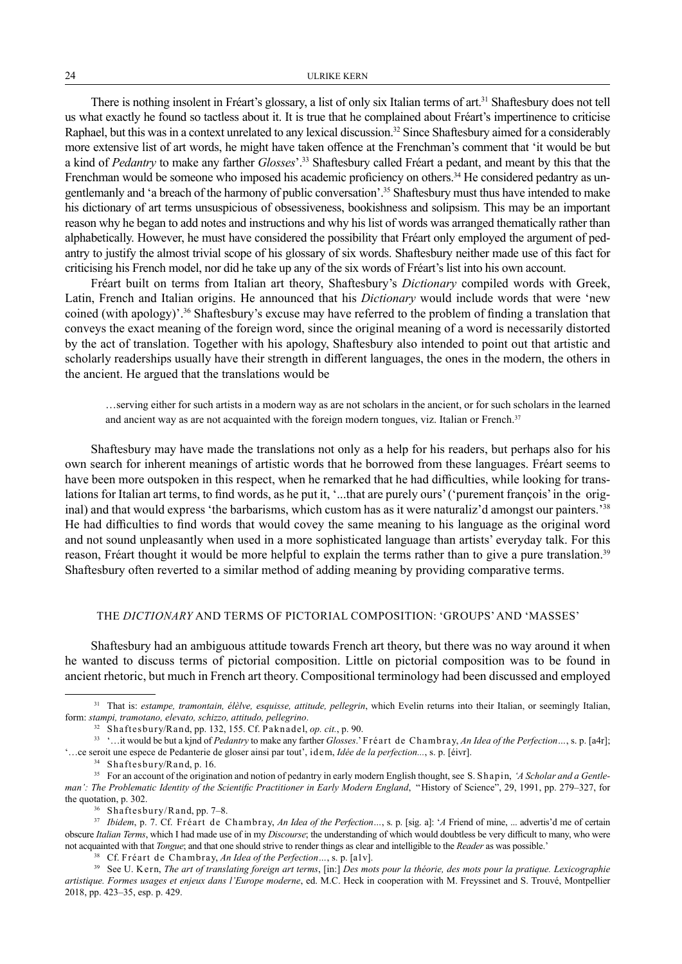There is nothing insolent in Fréart's glossary, a list of only six Italian terms of art.<sup>31</sup> Shaftesbury does not tell us what exactly he found so tactless about it. It is true that he complained about Fréart's impertinence to criticise Raphael, but this was in a context unrelated to any lexical discussion.<sup>32</sup> Since Shaftesbury aimed for a considerably more extensive list of art words, he might have taken offence at the Frenchman's comment that 'it would be but a kind of *Pedantry* to make any farther *Glosses*'.33 Shaftesbury called Fréart a pedant, and meant by this that the Frenchman would be someone who imposed his academic proficiency on others.<sup>34</sup> He considered pedantry as ungentlemanly and 'a breach of the harmony of public conversation'.35 Shaftesbury must thus have intended to make his dictionary of art terms unsuspicious of obsessiveness, bookishness and solipsism. This may be an important reason why he began to add notes and instructions and why his list of words was arranged thematically rather than alphabetically. However, he must have considered the possibility that Fréart only employed the argument of pedantry to justify the almost trivial scope of his glossary of six words. Shaftesbury neither made use of this fact for criticising his French model, nor did he take up any of the six words of Fréart's list into his own account.

Fréart built on terms from Italian art theory, Shaftesbury's *Dictionary* compiled words with Greek, Latin, French and Italian origins. He announced that his *Dictionary* would include words that were 'new coined (with apology)'.36 Shaftesbury's excuse may have referred to the problem of finding a translation that conveys the exact meaning of the foreign word, since the original meaning of a word is necessarily distorted by the act of translation. Together with his apology, Shaftesbury also intended to point out that artistic and scholarly readerships usually have their strength in different languages, the ones in the modern, the others in the ancient. He argued that the translations would be

…serving either for such artists in a modern way as are not scholars in the ancient, or for such scholars in the learned and ancient way as are not acquainted with the foreign modern tongues, viz. Italian or French.<sup>37</sup>

Shaftesbury may have made the translations not only as a help for his readers, but perhaps also for his own search for inherent meanings of artistic words that he borrowed from these languages. Fréart seems to have been more outspoken in this respect, when he remarked that he had difficulties, while looking for translations for Italian art terms, to find words, as he put it, '...that are purely ours' ('purement françois' in the original) and that would express 'the barbarisms, which custom has as it were naturaliz'd amongst our painters.'38 He had difficulties to find words that would covey the same meaning to his language as the original word and not sound unpleasantly when used in a more sophisticated language than artists' everyday talk. For this reason, Fréart thought it would be more helpful to explain the terms rather than to give a pure translation.39 Shaftesbury often reverted to a similar method of adding meaning by providing comparative terms.

# THE *DICTIONARY* AND TERMS OF PICTORIAL COMPOSITION: 'GROUPS' AND 'MASSES'

Shaftesbury had an ambiguous attitude towards French art theory, but there was no way around it when he wanted to discuss terms of pictorial composition. Little on pictorial composition was to be found in ancient rhetoric, but much in French art theory. Compositional terminology had been discussed and employed

<sup>&</sup>lt;sup>31</sup> That is: estampe, tramontain, élèlve, esquisse, attitude, pellegrin, which Evelin returns into their Italian, or seemingly Italian, form: *stampi, tramotano, elevato, schizzo, attitudo, pellegrino*.

<sup>32</sup> Shaftesbury/Rand, pp. 132, 155. Cf. Paknadel, *op. cit.*, p. 90.

<sup>33</sup> '…it would be but a kjnd of *Pedantry* to make any farther *Glosses*.' Fréart de Chambray, *An Idea of the Perfection…*, s. p. [a4r]; '…ce seroit une espece de Pedanterie de gloser ainsi par tout', idem, *Idée de la perfection...*, s. p. [éivr].

<sup>34</sup> Shaftesbury/Rand, p. 16.

<sup>35</sup> For an account of the origination and notion of pedantry in early modern English thought, see S. Shapin, *'A Scholar and a Gentleman': The Problematic Identity of the Scientific Practitioner in Early Modern England*, "History of Science", 29, 1991, pp. 279–327, for the quotation, p. 302.

<sup>36</sup> Shaftesbury/Rand, pp. 7–8.

<sup>37</sup> *Ibidem*, p. 7. Cf. Fréart de Chambray, *An Idea of the Perfection…*, s. p. [sig. a]: '*A* Friend of mine, ... advertis'd me of certain obscure *Italian Terms*, which I had made use of in my *Discourse*; the understanding of which would doubtless be very difficult to many, who were not acquainted with that *Tongue*; and that one should strive to render things as clear and intelligible to the *Reader* as was possible.'

<sup>38</sup> Cf. Fréart de Chambray, *An Idea of the Perfection…*, s. p. [a1v].

<sup>39</sup> See U. Kern, *The art of translating foreign art terms*, [in:] *Des mots pour la théorie, des mots pour la pratique. Lexicographie artistique. Formes usages et enjeux dans l'Europe moderne*, ed. M.C. Heck in cooperation with M. Freyssinet and S. Trouvé, Montpellier 2018, pp. 423–35, esp. p. 429.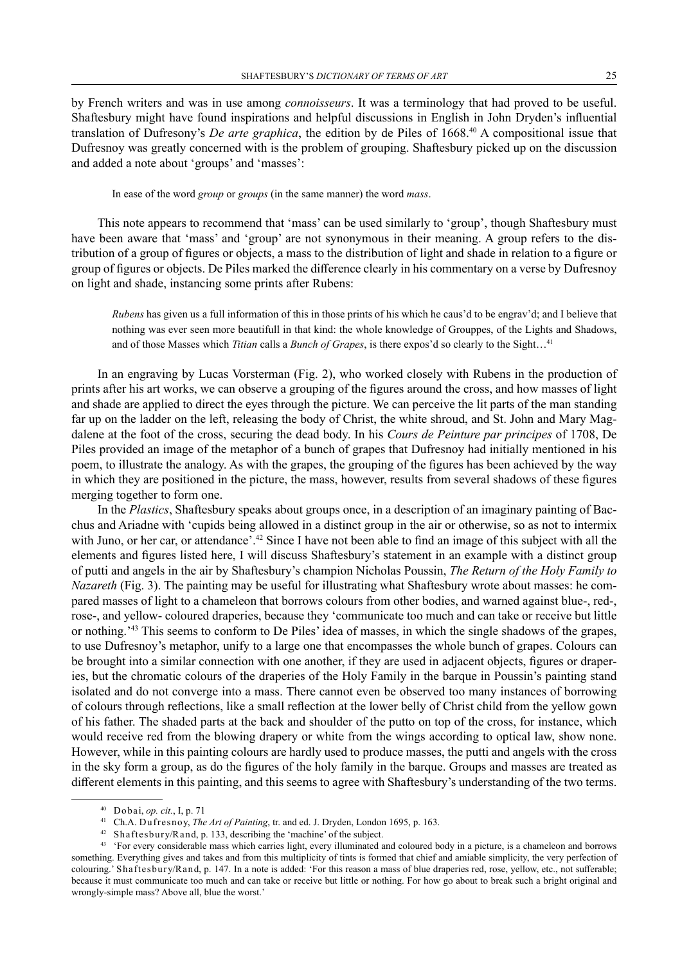by French writers and was in use among *connoisseurs*. It was a terminology that had proved to be useful. Shaftesbury might have found inspirations and helpful discussions in English in John Dryden's influential translation of Dufresony's *De arte graphica*, the edition by de Piles of 1668.40 A compositional issue that Dufresnoy was greatly concerned with is the problem of grouping. Shaftesbury picked up on the discussion and added a note about 'groups' and 'masses':

In ease of the word *group* or *groups* (in the same manner) the word *mass*.

This note appears to recommend that 'mass' can be used similarly to 'group', though Shaftesbury must have been aware that 'mass' and 'group' are not synonymous in their meaning. A group refers to the distribution of a group of figures or objects, a mass to the distribution of light and shade in relation to a figure or group of figures or objects. De Piles marked the difference clearly in his commentary on a verse by Dufresnoy on light and shade, instancing some prints after Rubens:

*Rubens* has given us a full information of this in those prints of his which he caus'd to be engrav'd; and I believe that nothing was ever seen more beautifull in that kind: the whole knowledge of Grouppes, of the Lights and Shadows, and of those Masses which *Titian* calls a *Bunch of Grapes*, is there expos'd so clearly to the Sight…41

In an engraving by Lucas Vorsterman (Fig. 2), who worked closely with Rubens in the production of prints after his art works, we can observe a grouping of the figures around the cross, and how masses of light and shade are applied to direct the eyes through the picture. We can perceive the lit parts of the man standing far up on the ladder on the left, releasing the body of Christ, the white shroud, and St. John and Mary Magdalene at the foot of the cross, securing the dead body. In his *Cours de Peinture par principes* of 1708, De Piles provided an image of the metaphor of a bunch of grapes that Dufresnoy had initially mentioned in his poem, to illustrate the analogy. As with the grapes, the grouping of the figures has been achieved by the way in which they are positioned in the picture, the mass, however, results from several shadows of these figures merging together to form one.

In the *Plastics*, Shaftesbury speaks about groups once, in a description of an imaginary painting of Bacchus and Ariadne with 'cupids being allowed in a distinct group in the air or otherwise, so as not to intermix with Juno, or her car, or attendance'.<sup>42</sup> Since I have not been able to find an image of this subject with all the elements and figures listed here, I will discuss Shaftesbury's statement in an example with a distinct group of putti and angels in the air by Shaftesbury's champion Nicholas Poussin, *The Return of the Holy Family to Nazareth* (Fig. 3). The painting may be useful for illustrating what Shaftesbury wrote about masses: he compared masses of light to a chameleon that borrows colours from other bodies, and warned against blue-, red-, rose-, and yellow- coloured draperies, because they 'communicate too much and can take or receive but little or nothing.'43 This seems to conform to De Piles' idea of masses, in which the single shadows of the grapes, to use Dufresnoy's metaphor, unify to a large one that encompasses the whole bunch of grapes. Colours can be brought into a similar connection with one another, if they are used in adjacent objects, figures or draperies, but the chromatic colours of the draperies of the Holy Family in the barque in Poussin's painting stand isolated and do not converge into a mass. There cannot even be observed too many instances of borrowing of colours through reflections, like a small reflection at the lower belly of Christ child from the yellow gown of his father. The shaded parts at the back and shoulder of the putto on top of the cross, for instance, which would receive red from the blowing drapery or white from the wings according to optical law, show none. However, while in this painting colours are hardly used to produce masses, the putti and angels with the cross in the sky form a group, as do the figures of the holy family in the barque. Groups and masses are treated as different elements in this painting, and this seems to agree with Shaftesbury's understanding of the two terms.

<sup>40</sup> Dobai, *op. cit.*, I, p. 71

<sup>41</sup> Ch.A. Dufresnoy, *The Art of Painting*, tr. and ed. J. Dryden, London 1695, p. 163.

<sup>42</sup> Shaftesbury/Rand, p. 133, describing the 'machine' of the subject.

<sup>&</sup>lt;sup>43</sup> 'For every considerable mass which carries light, every illuminated and coloured body in a picture, is a chameleon and borrows something. Everything gives and takes and from this multiplicity of tints is formed that chief and amiable simplicity, the very perfection of colouring.' Shaftesbury/Rand, p. 147. In a note is added: 'For this reason a mass of blue draperies red, rose, yellow, etc., not sufferable; because it must communicate too much and can take or receive but little or nothing. For how go about to break such a bright original and wrongly-simple mass? Above all, blue the worst.'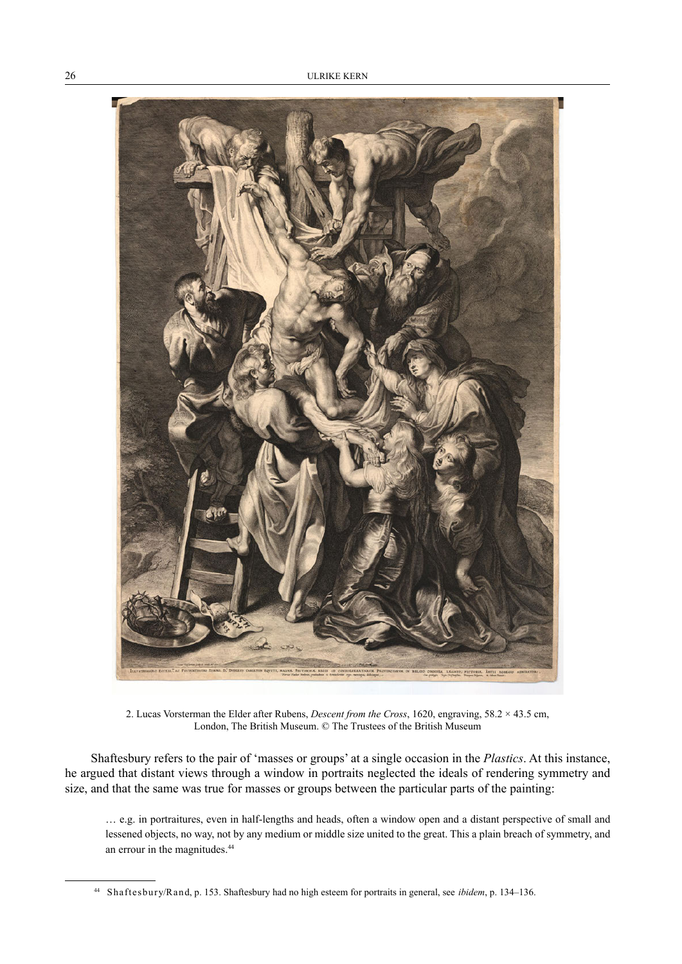

2. Lucas Vorsterman the Elder after Rubens, *Descent from the Cross*, 1620, engraving, 58.2 × 43.5 cm, London, The British Museum. © The Trustees of the British Museum

Shaftesbury refers to the pair of 'masses or groups' at a single occasion in the *Plastics*. At this instance, he argued that distant views through a window in portraits neglected the ideals of rendering symmetry and size, and that the same was true for masses or groups between the particular parts of the painting:

… e.g. in portraitures, even in half-lengths and heads, often a window open and a distant perspective of small and lessened objects, no way, not by any medium or middle size united to the great. This a plain breach of symmetry, and an errour in the magnitudes.44

<sup>44</sup> Shaftesbury/Rand, p. 153. Shaftesbury had no high esteem for portraits in general, see *ibidem*, p. 134–136.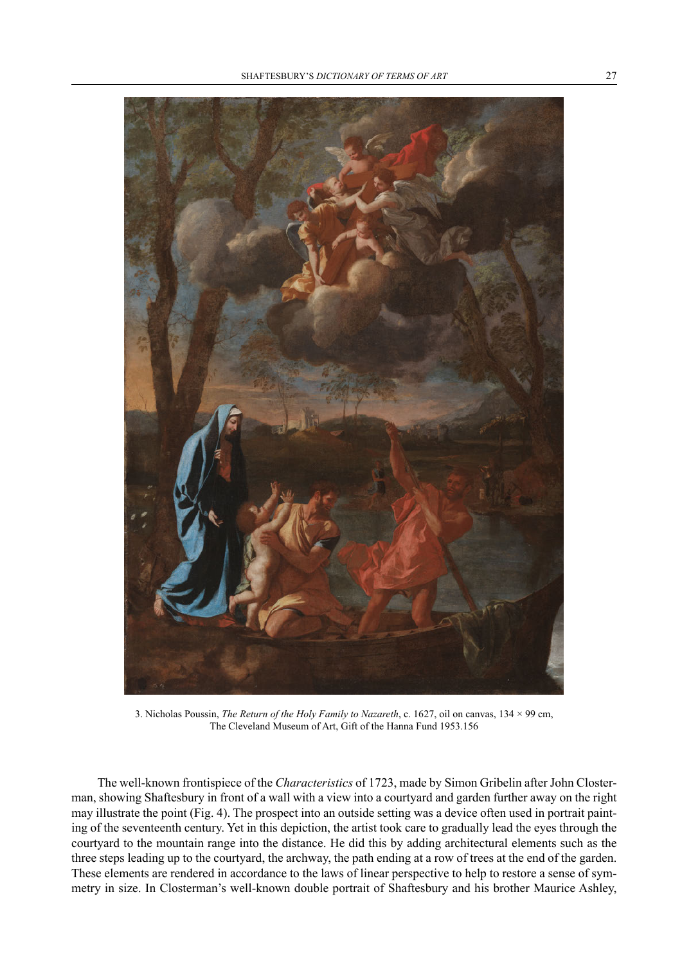

3. Nicholas Poussin, *The Return of the Holy Family to Nazareth*, c. 1627, oil on canvas, 134 × 99 cm, The Cleveland Museum of Art, Gift of the Hanna Fund 1953.156

The well-known frontispiece of the *Characteristics* of 1723, made by Simon Gribelin after John Closterman, showing Shaftesbury in front of a wall with a view into a courtyard and garden further away on the right may illustrate the point (Fig. 4). The prospect into an outside setting was a device often used in portrait painting of the seventeenth century. Yet in this depiction, the artist took care to gradually lead the eyes through the courtyard to the mountain range into the distance. He did this by adding architectural elements such as the three steps leading up to the courtyard, the archway, the path ending at a row of trees at the end of the garden. These elements are rendered in accordance to the laws of linear perspective to help to restore a sense of symmetry in size. In Closterman's well-known double portrait of Shaftesbury and his brother Maurice Ashley,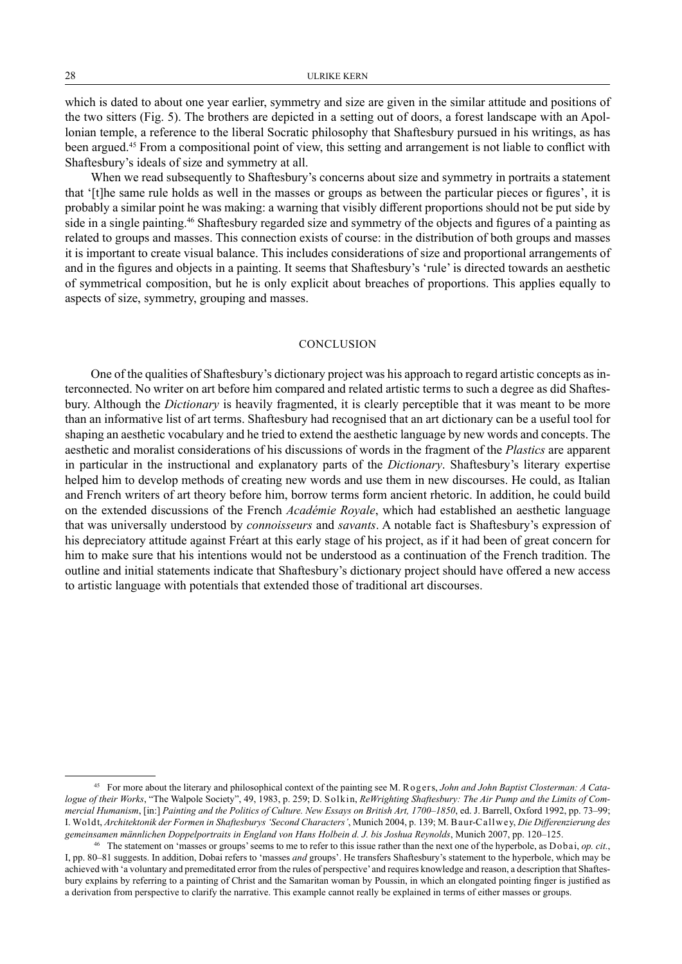which is dated to about one year earlier, symmetry and size are given in the similar attitude and positions of the two sitters (Fig. 5). The brothers are depicted in a setting out of doors, a forest landscape with an Apollonian temple, a reference to the liberal Socratic philosophy that Shaftesbury pursued in his writings, as has been argued.45 From a compositional point of view, this setting and arrangement is not liable to conflict with Shaftesbury's ideals of size and symmetry at all.

When we read subsequently to Shaftesbury's concerns about size and symmetry in portraits a statement that '[t]he same rule holds as well in the masses or groups as between the particular pieces or figures', it is probably a similar point he was making: a warning that visibly different proportions should not be put side by side in a single painting.<sup>46</sup> Shaftesbury regarded size and symmetry of the objects and figures of a painting as related to groups and masses. This connection exists of course: in the distribution of both groups and masses it is important to create visual balance. This includes considerations of size and proportional arrangements of and in the figures and objects in a painting. It seems that Shaftesbury's 'rule' is directed towards an aesthetic of symmetrical composition, but he is only explicit about breaches of proportions. This applies equally to aspects of size, symmetry, grouping and masses.

#### **CONCLUSION**

One of the qualities of Shaftesbury's dictionary project was his approach to regard artistic concepts as interconnected. No writer on art before him compared and related artistic terms to such a degree as did Shaftesbury. Although the *Dictionary* is heavily fragmented, it is clearly perceptible that it was meant to be more than an informative list of art terms. Shaftesbury had recognised that an art dictionary can be a useful tool for shaping an aesthetic vocabulary and he tried to extend the aesthetic language by new words and concepts. The aesthetic and moralist considerations of his discussions of words in the fragment of the *Plastics* are apparent in particular in the instructional and explanatory parts of the *Dictionary*. Shaftesbury's literary expertise helped him to develop methods of creating new words and use them in new discourses. He could, as Italian and French writers of art theory before him, borrow terms form ancient rhetoric. In addition, he could build on the extended discussions of the French *Académie Royale*, which had established an aesthetic language that was universally understood by *connoisseurs* and *savants*. A notable fact is Shaftesbury's expression of his depreciatory attitude against Fréart at this early stage of his project, as if it had been of great concern for him to make sure that his intentions would not be understood as a continuation of the French tradition. The outline and initial statements indicate that Shaftesbury's dictionary project should have offered a new access to artistic language with potentials that extended those of traditional art discourses.

<sup>45</sup> For more about the literary and philosophical context of the painting see M. Rogers, *John and John Baptist Closterman: A Catalogue of their Works*, "The Walpole Society", 49, 1983, p. 259; D. Solkin, *ReWrighting Shaftesbury: The Air Pump and the Limits of Commercial Humanism*, [in:] *Painting and the Politics of Culture. New Essays on British Art, 1700–1850*, ed. J. Barrell, Oxford 1992, pp. 73–99; I. Woldt, *Architektonik der Formen in Shaftesburys 'Second Characters'*, Munich 2004, p. 139; M. Baur-Callwey, *Die Differenzierung des gemeinsamen männlichen Doppelportraits in England von Hans Holbein d. J. bis Joshua Reynolds*, Munich 2007, pp. 120–125.

<sup>46</sup> The statement on 'masses or groups' seems to me to refer to this issue rather than the next one of the hyperbole, as Dobai, *op. cit.*, I, pp. 80–81 suggests. In addition, Dobai refers to 'masses *and* groups'. He transfers Shaftesbury's statement to the hyperbole, which may be achieved with 'a voluntary and premeditated error from the rules of perspective' and requires knowledge and reason, a description that Shaftesbury explains by referring to a painting of Christ and the Samaritan woman by Poussin, in which an elongated pointing finger is justified as a derivation from perspective to clarify the narrative. This example cannot really be explained in terms of either masses or groups.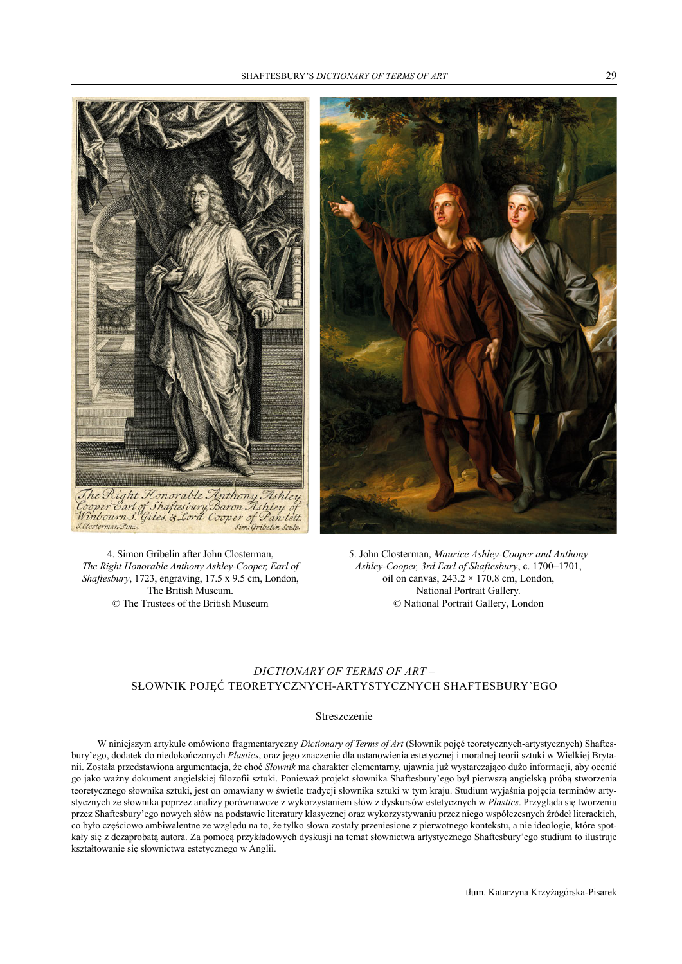

4. Simon Gribelin after John Closterman, *The Right Honorable Anthony Ashley-Cooper, Earl of Shaftesbury*, 1723, engraving, 17.5 x 9.5 cm, London, The British Museum.

© The Trustees of the British Museum



5. John Closterman, *Maurice Ashley-Cooper and Anthony Ashley-Cooper, 3rd Earl of Shaftesbury*, c. 1700–1701, oil on canvas,  $243.2 \times 170.8$  cm, London, National Portrait Gallery. © National Portrait Gallery, London

# *DICTIONARY OF TERMS OF ART* – SŁOWNIK POJĘĆ TEORETYCZNYCH-ARTYSTYCZNYCH SHAFTESBURY'EGO

#### Streszczenie

W niniejszym artykule omówiono fragmentaryczny *Dictionary of Terms of Art* (Słownik pojęć teoretycznych-artystycznych) Shaftesbury'ego, dodatek do niedokończonych *Plastics*, oraz jego znaczenie dla ustanowienia estetycznej i moralnej teorii sztuki w Wielkiej Brytanii. Została przedstawiona argumentacja, że choć *Słownik* ma charakter elementarny, ujawnia już wystarczająco dużo informacji, aby ocenić go jako ważny dokument angielskiej filozofii sztuki. Ponieważ projekt słownika Shaftesbury'ego był pierwszą angielską próbą stworzenia teoretycznego słownika sztuki, jest on omawiany w świetle tradycji słownika sztuki w tym kraju. Studium wyjaśnia pojęcia terminów artystycznych ze słownika poprzez analizy porównawcze z wykorzystaniem słów z dyskursów estetycznych w *Plastics*. Przygląda się tworzeniu przez Shaftesbury'ego nowych słów na podstawie literatury klasycznej oraz wykorzystywaniu przez niego współczesnych źródeł literackich, co było częściowo ambiwalentne ze względu na to, że tylko słowa zostały przeniesione z pierwotnego kontekstu, a nie ideologie, które spotkały się z dezaprobatą autora. Za pomocą przykładowych dyskusji na temat słownictwa artystycznego Shaftesbury'ego studium to ilustruje kształtowanie się słownictwa estetycznego w Anglii.